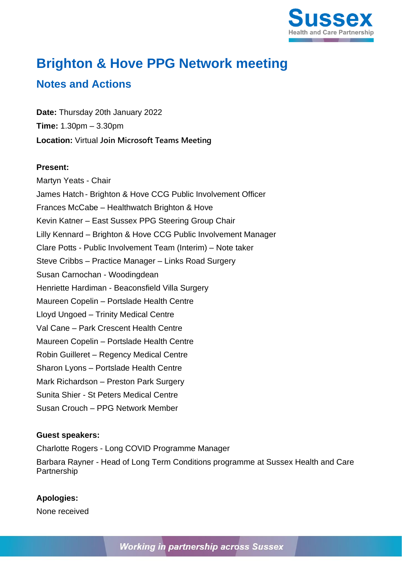

# **Brighton & Hove PPG Network meeting**

# **Notes and Actions**

**Date:** Thursday 20th January 2022 **Time:** 1.30pm – 3.30pm **Location:** Virtual **Join Microsoft Teams Meeting**

#### **Present:**

Martyn Yeats - Chair James Hatch - Brighton & Hove CCG Public Involvement Officer Frances McCabe – Healthwatch Brighton & Hove Kevin Katner – East Sussex PPG Steering Group Chair Lilly Kennard – Brighton & Hove CCG Public Involvement Manager Clare Potts - Public Involvement Team (Interim) – Note taker Steve Cribbs – Practice Manager – Links Road Surgery Susan Carnochan - Woodingdean Henriette Hardiman - Beaconsfield Villa Surgery Maureen Copelin – Portslade Health Centre Lloyd Ungoed – Trinity Medical Centre Val Cane – Park Crescent Health Centre Maureen Copelin – Portslade Health Centre Robin Guilleret – Regency Medical Centre Sharon Lyons – Portslade Health Centre Mark Richardson – Preston Park Surgery Sunita Shier - St Peters Medical Centre Susan Crouch – PPG Network Member

## **Guest speakers:**

Charlotte Rogers - Long COVID Programme Manager Barbara Rayner - Head of Long Term Conditions programme at Sussex Health and Care Partnership

## **Apologies:**

None received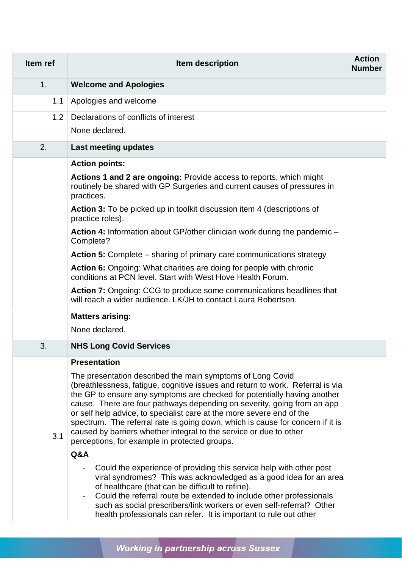| Item ref | Item description                                                                                                                                                                                                                                                                                                                                                                                                                                                                                                                                                                      | <b>Action</b><br><b>Number</b> |
|----------|---------------------------------------------------------------------------------------------------------------------------------------------------------------------------------------------------------------------------------------------------------------------------------------------------------------------------------------------------------------------------------------------------------------------------------------------------------------------------------------------------------------------------------------------------------------------------------------|--------------------------------|
| 1.       | <b>Welcome and Apologies</b>                                                                                                                                                                                                                                                                                                                                                                                                                                                                                                                                                          |                                |
| 1.1      | Apologies and welcome                                                                                                                                                                                                                                                                                                                                                                                                                                                                                                                                                                 |                                |
| 1.2      | Declarations of conflicts of interest                                                                                                                                                                                                                                                                                                                                                                                                                                                                                                                                                 |                                |
|          | None declared.                                                                                                                                                                                                                                                                                                                                                                                                                                                                                                                                                                        |                                |
| 2.       | Last meeting updates                                                                                                                                                                                                                                                                                                                                                                                                                                                                                                                                                                  |                                |
|          | <b>Action points:</b>                                                                                                                                                                                                                                                                                                                                                                                                                                                                                                                                                                 |                                |
|          | <b>Actions 1 and 2 are ongoing: Provide access to reports, which might</b><br>routinely be shared with GP Surgeries and current causes of pressures in<br>practices.                                                                                                                                                                                                                                                                                                                                                                                                                  |                                |
|          | <b>Action 3:</b> To be picked up in toolkit discussion item 4 (descriptions of<br>practice roles).                                                                                                                                                                                                                                                                                                                                                                                                                                                                                    |                                |
|          | Action 4: Information about GP/other clinician work during the pandemic -<br>Complete?                                                                                                                                                                                                                                                                                                                                                                                                                                                                                                |                                |
|          | <b>Action 5:</b> Complete – sharing of primary care communications strategy                                                                                                                                                                                                                                                                                                                                                                                                                                                                                                           |                                |
|          | <b>Action 6:</b> Ongoing: What charities are doing for people with chronic<br>conditions at PCN level. Start with West Hove Health Forum.                                                                                                                                                                                                                                                                                                                                                                                                                                             |                                |
|          | <b>Action 7:</b> Ongoing: CCG to produce some communications headlines that<br>will reach a wider audience. LK/JH to contact Laura Robertson.                                                                                                                                                                                                                                                                                                                                                                                                                                         |                                |
|          | <b>Matters arising:</b>                                                                                                                                                                                                                                                                                                                                                                                                                                                                                                                                                               |                                |
|          | None declared.                                                                                                                                                                                                                                                                                                                                                                                                                                                                                                                                                                        |                                |
| 3.       | <b>NHS Long Covid Services</b>                                                                                                                                                                                                                                                                                                                                                                                                                                                                                                                                                        |                                |
|          | <b>Presentation</b>                                                                                                                                                                                                                                                                                                                                                                                                                                                                                                                                                                   |                                |
| 3.1      | The presentation described the main symptoms of Long Covid<br>(breathlessness, fatigue, cognitive issues and return to work. Referral is via<br>the GP to ensure any symptoms are checked for potentially having another<br>cause. There are four pathways depending on severity, going from an app<br>or self help advice, to specialist care at the more severe end of the<br>spectrum. The referral rate is going down, which is cause for concern if it is<br>caused by barriers whether integral to the service or due to other<br>perceptions, for example in protected groups. |                                |
|          | Q&A                                                                                                                                                                                                                                                                                                                                                                                                                                                                                                                                                                                   |                                |
|          | Could the experience of providing this service help with other post<br>viral syndromes? This was acknowledged as a good idea for an area<br>of healthcare (that can be difficult to refine).<br>Could the referral route be extended to include other professionals<br>such as social prescribers/link workers or even self-referral? Other<br>health professionals can refer. It is important to rule out other                                                                                                                                                                      |                                |

Working in partnership across Sussex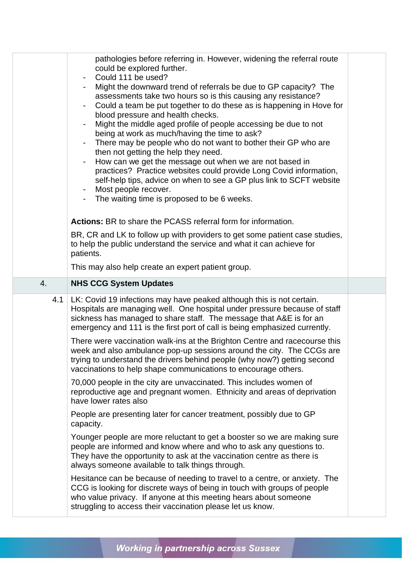| pathologies before referring in. However, widening the referral route<br>could be explored further.<br>Could 111 be used?<br>Might the downward trend of referrals be due to GP capacity? The<br>assessments take two hours so is this causing any resistance?<br>Could a team be put together to do these as is happening in Hove for<br>blood pressure and health checks.<br>Might the middle aged profile of people accessing be due to not<br>being at work as much/having the time to ask?<br>There may be people who do not want to bother their GP who are<br>then not getting the help they need.<br>How can we get the message out when we are not based in<br>practices? Practice websites could provide Long Covid information,<br>self-help tips, advice on when to see a GP plus link to SCFT website<br>Most people recover.<br>$\blacksquare$<br>The waiting time is proposed to be 6 weeks.<br>Actions: BR to share the PCASS referral form for information.<br>BR, CR and LK to follow up with providers to get some patient case studies,<br>to help the public understand the service and what it can achieve for<br>patients.<br>This may also help create an expert patient group.<br><b>NHS CCG System Updates</b><br>4.<br>4.1   LK: Covid 19 infections may have peaked although this is not certain.<br>Hospitals are managing well. One hospital under pressure because of staff<br>sickness has managed to share staff. The message that A&E is for an<br>emergency and 111 is the first port of call is being emphasized currently.<br>There were vaccination walk-ins at the Brighton Centre and racecourse this<br>week and also ambulance pop-up sessions around the city. The CCGs are<br>trying to understand the drivers behind people (why now?) getting second<br>vaccinations to help shape communications to encourage others.<br>70,000 people in the city are unvaccinated. This includes women of<br>reproductive age and pregnant women. Ethnicity and areas of deprivation<br>have lower rates also<br>People are presenting later for cancer treatment, possibly due to GP<br>capacity.<br>Younger people are more reluctant to get a booster so we are making sure<br>people are informed and know where and who to ask any questions to.<br>They have the opportunity to ask at the vaccination centre as there is<br>always someone available to talk things through.<br>Hesitance can be because of needing to travel to a centre, or anxiety. The<br>CCG is looking for discrete ways of being in touch with groups of people<br>who value privacy. If anyone at this meeting hears about someone<br>struggling to access their vaccination please let us know. |  |  |
|------------------------------------------------------------------------------------------------------------------------------------------------------------------------------------------------------------------------------------------------------------------------------------------------------------------------------------------------------------------------------------------------------------------------------------------------------------------------------------------------------------------------------------------------------------------------------------------------------------------------------------------------------------------------------------------------------------------------------------------------------------------------------------------------------------------------------------------------------------------------------------------------------------------------------------------------------------------------------------------------------------------------------------------------------------------------------------------------------------------------------------------------------------------------------------------------------------------------------------------------------------------------------------------------------------------------------------------------------------------------------------------------------------------------------------------------------------------------------------------------------------------------------------------------------------------------------------------------------------------------------------------------------------------------------------------------------------------------------------------------------------------------------------------------------------------------------------------------------------------------------------------------------------------------------------------------------------------------------------------------------------------------------------------------------------------------------------------------------------------------------------------------------------------------------------------------------------------------------------------------------------------------------------------------------------------------------------------------------------------------------------------------------------------------------------------------------------------------------------------------------------------------------------------------------------------------------------------------------------------------------------------------------------------------------------------------------------------|--|--|
|                                                                                                                                                                                                                                                                                                                                                                                                                                                                                                                                                                                                                                                                                                                                                                                                                                                                                                                                                                                                                                                                                                                                                                                                                                                                                                                                                                                                                                                                                                                                                                                                                                                                                                                                                                                                                                                                                                                                                                                                                                                                                                                                                                                                                                                                                                                                                                                                                                                                                                                                                                                                                                                                                                                  |  |  |
|                                                                                                                                                                                                                                                                                                                                                                                                                                                                                                                                                                                                                                                                                                                                                                                                                                                                                                                                                                                                                                                                                                                                                                                                                                                                                                                                                                                                                                                                                                                                                                                                                                                                                                                                                                                                                                                                                                                                                                                                                                                                                                                                                                                                                                                                                                                                                                                                                                                                                                                                                                                                                                                                                                                  |  |  |
|                                                                                                                                                                                                                                                                                                                                                                                                                                                                                                                                                                                                                                                                                                                                                                                                                                                                                                                                                                                                                                                                                                                                                                                                                                                                                                                                                                                                                                                                                                                                                                                                                                                                                                                                                                                                                                                                                                                                                                                                                                                                                                                                                                                                                                                                                                                                                                                                                                                                                                                                                                                                                                                                                                                  |  |  |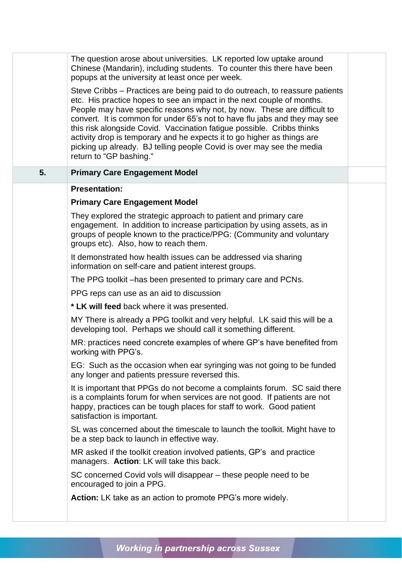|    | The question arose about universities. LK reported low uptake around<br>Chinese (Mandarin), including students. To counter this there have been<br>popups at the university at least once per week.<br>Steve Cribbs – Practices are being paid to do outreach, to reassure patients<br>etc. His practice hopes to see an impact in the next couple of months.<br>People may have specific reasons why not, by now. These are difficult to<br>convert. It is common for under 65's not to have flu jabs and they may see<br>this risk alongside Covid. Vaccination fatigue possible. Cribbs thinks<br>activity drop is temporary and he expects it to go higher as things are<br>picking up already. BJ telling people Covid is over may see the media<br>return to "GP bashing." |  |
|----|----------------------------------------------------------------------------------------------------------------------------------------------------------------------------------------------------------------------------------------------------------------------------------------------------------------------------------------------------------------------------------------------------------------------------------------------------------------------------------------------------------------------------------------------------------------------------------------------------------------------------------------------------------------------------------------------------------------------------------------------------------------------------------|--|
| 5. | <b>Primary Care Engagement Model</b>                                                                                                                                                                                                                                                                                                                                                                                                                                                                                                                                                                                                                                                                                                                                             |  |
|    | <b>Presentation:</b>                                                                                                                                                                                                                                                                                                                                                                                                                                                                                                                                                                                                                                                                                                                                                             |  |
|    | <b>Primary Care Engagement Model</b>                                                                                                                                                                                                                                                                                                                                                                                                                                                                                                                                                                                                                                                                                                                                             |  |
|    | They explored the strategic approach to patient and primary care<br>engagement. In addition to increase participation by using assets, as in<br>groups of people known to the practice/PPG: (Community and voluntary<br>groups etc). Also, how to reach them.                                                                                                                                                                                                                                                                                                                                                                                                                                                                                                                    |  |
|    | It demonstrated how health issues can be addressed via sharing<br>information on self-care and patient interest groups.                                                                                                                                                                                                                                                                                                                                                                                                                                                                                                                                                                                                                                                          |  |
|    | The PPG toolkit – has been presented to primary care and PCNs.                                                                                                                                                                                                                                                                                                                                                                                                                                                                                                                                                                                                                                                                                                                   |  |
|    | PPG reps can use as an aid to discussion                                                                                                                                                                                                                                                                                                                                                                                                                                                                                                                                                                                                                                                                                                                                         |  |
|    | * LK will feed back where it was presented.                                                                                                                                                                                                                                                                                                                                                                                                                                                                                                                                                                                                                                                                                                                                      |  |
|    | MY There is already a PPG toolkit and very helpful. LK said this will be a<br>developing tool. Perhaps we should call it something different.                                                                                                                                                                                                                                                                                                                                                                                                                                                                                                                                                                                                                                    |  |
|    | MR: practices need concrete examples of where GP's have benefited from<br>working with PPG's.                                                                                                                                                                                                                                                                                                                                                                                                                                                                                                                                                                                                                                                                                    |  |
|    | EG: Such as the occasion when ear syringing was not going to be funded<br>any longer and patients pressure reversed this.                                                                                                                                                                                                                                                                                                                                                                                                                                                                                                                                                                                                                                                        |  |
|    | It is important that PPGs do not become a complaints forum. SC said there<br>is a complaints forum for when services are not good. If patients are not<br>happy, practices can be tough places for staff to work. Good patient<br>satisfaction is important.                                                                                                                                                                                                                                                                                                                                                                                                                                                                                                                     |  |
|    | SL was concerned about the timescale to launch the toolkit. Might have to<br>be a step back to launch in effective way.                                                                                                                                                                                                                                                                                                                                                                                                                                                                                                                                                                                                                                                          |  |
|    | MR asked if the toolkit creation involved patients, GP's and practice<br>managers. Action: LK will take this back.                                                                                                                                                                                                                                                                                                                                                                                                                                                                                                                                                                                                                                                               |  |
|    | SC concerned Covid vols will disappear – these people need to be<br>encouraged to join a PPG.                                                                                                                                                                                                                                                                                                                                                                                                                                                                                                                                                                                                                                                                                    |  |
|    | <b>Action:</b> LK take as an action to promote PPG's more widely.                                                                                                                                                                                                                                                                                                                                                                                                                                                                                                                                                                                                                                                                                                                |  |
|    |                                                                                                                                                                                                                                                                                                                                                                                                                                                                                                                                                                                                                                                                                                                                                                                  |  |